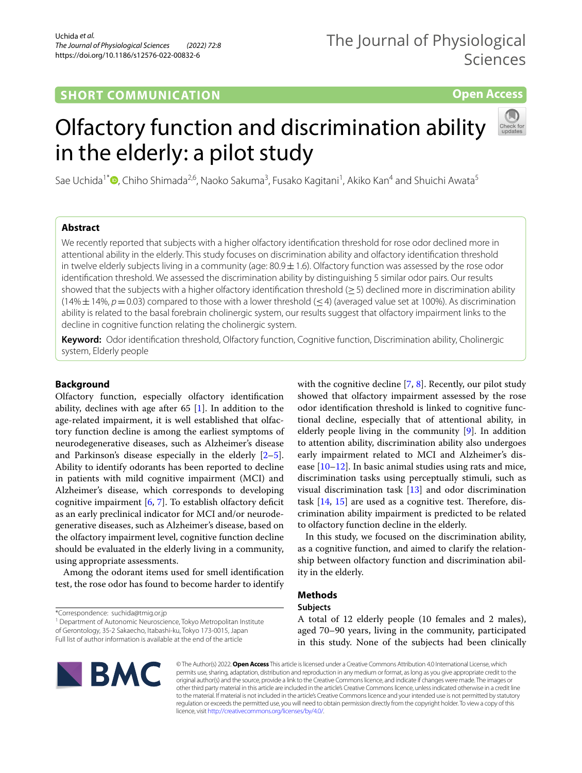# **SHORT COMMUNICATION**

**Open Access**

# Olfactory function and discrimination ability in the elderly: a pilot study



Sae Uchida<sup>1\*</sup>®[,](http://orcid.org/0000-0001-5320-2982) Chiho Shimada<sup>2,6</sup>, Naoko Sakuma<sup>3</sup>, Fusako Kagitani<sup>1</sup>, Akiko Kan<sup>4</sup> and Shuichi Awata<sup>5</sup>

# **Abstract**

We recently reported that subjects with a higher olfactory identifcation threshold for rose odor declined more in attentional ability in the elderly. This study focuses on discrimination ability and olfactory identifcation threshold in twelve elderly subjects living in a community (age:  $80.9 \pm 1.6$ ). Olfactory function was assessed by the rose odor identifcation threshold. We assessed the discrimination ability by distinguishing 5 similar odor pairs. Our results showed that the subjects with a higher olfactory identification threshold (>5) declined more in discrimination ability  $(14\% \pm 14\%, p = 0.03)$  compared to those with a lower threshold ( $\leq 4$ ) (averaged value set at 100%). As discrimination ability is related to the basal forebrain cholinergic system, our results suggest that olfactory impairment links to the decline in cognitive function relating the cholinergic system.

**Keyword:** Odor identifcation threshold, Olfactory function, Cognitive function, Discrimination ability, Cholinergic system, Elderly people

# **Background**

Olfactory function, especially olfactory identifcation ability, declines with age after 65 [[1\]](#page-3-0). In addition to the age-related impairment, it is well established that olfactory function decline is among the earliest symptoms of neurodegenerative diseases, such as Alzheimer's disease and Parkinson's disease especially in the elderly  $[2-5]$  $[2-5]$ . Ability to identify odorants has been reported to decline in patients with mild cognitive impairment (MCI) and Alzheimer's disease, which corresponds to developing cognitive impairment  $[6, 7]$  $[6, 7]$  $[6, 7]$  $[6, 7]$ . To establish olfactory deficit as an early preclinical indicator for MCI and/or neurodegenerative diseases, such as Alzheimer's disease, based on the olfactory impairment level, cognitive function decline should be evaluated in the elderly living in a community, using appropriate assessments.

Among the odorant items used for smell identifcation test, the rose odor has found to become harder to identify

\*Correspondence: suchida@tmig.or.jp

<sup>1</sup> Department of Autonomic Neuroscience, Tokyo Metropolitan Institute of Gerontology, 35‑2 Sakaecho, Itabashi‑ku, Tokyo 173‑0015, Japan Full list of author information is available at the end of the article

with the cognitive decline [\[7](#page-3-4), [8\]](#page-3-5). Recently, our pilot study showed that olfactory impairment assessed by the rose odor identifcation threshold is linked to cognitive functional decline, especially that of attentional ability, in elderly people living in the community [\[9](#page-3-6)]. In addition to attention ability, discrimination ability also undergoes early impairment related to MCI and Alzheimer's disease  $[10-12]$  $[10-12]$  $[10-12]$ . In basic animal studies using rats and mice, discrimination tasks using perceptually stimuli, such as visual discrimination task [\[13](#page-4-1)] and odor discrimination task  $[14, 15]$  $[14, 15]$  $[14, 15]$  $[14, 15]$  are used as a cognitive test. Therefore, discrimination ability impairment is predicted to be related to olfactory function decline in the elderly.

In this study, we focused on the discrimination ability, as a cognitive function, and aimed to clarify the relationship between olfactory function and discrimination ability in the elderly.

# **Methods**

## **Subjects**

A total of 12 elderly people (10 females and 2 males), aged 70–90 years, living in the community, participated



© The Author(s) 2022. **Open Access** This article is licensed under a Creative Commons Attribution 4.0 International License, which in this study. None of the subjects had been clinically

permits use, sharing, adaptation, distribution and reproduction in any medium or format, as long as you give appropriate credit to the original author(s) and the source, provide a link to the Creative Commons licence, and indicate if changes were made. The images or other third party material in this article are included in the article's Creative Commons licence, unless indicated otherwise in a credit line to the material. If material is not included in the article's Creative Commons licence and your intended use is not permitted by statutory regulation or exceeds the permitted use, you will need to obtain permission directly from the copyright holder. To view a copy of this licence, visit [http://creativecommons.org/licenses/by/4.0/.](http://creativecommons.org/licenses/by/4.0/)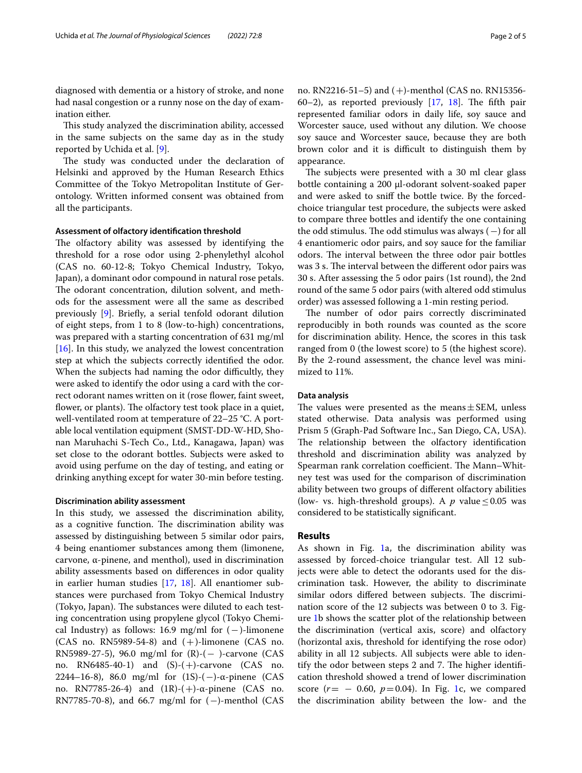diagnosed with dementia or a history of stroke, and none had nasal congestion or a runny nose on the day of examination either.

This study analyzed the discrimination ability, accessed in the same subjects on the same day as in the study reported by Uchida et al. [\[9\]](#page-3-6).

The study was conducted under the declaration of Helsinki and approved by the Human Research Ethics Committee of the Tokyo Metropolitan Institute of Gerontology. Written informed consent was obtained from all the participants.

#### **Assessment of olfactory identifcation threshold**

The olfactory ability was assessed by identifying the threshold for a rose odor using 2-phenylethyl alcohol (CAS no. 60-12-8; Tokyo Chemical Industry, Tokyo, Japan), a dominant odor compound in natural rose petals. The odorant concentration, dilution solvent, and methods for the assessment were all the same as described previously [\[9](#page-3-6)]. Briefy, a serial tenfold odorant dilution of eight steps, from 1 to 8 (low-to-high) concentrations, was prepared with a starting concentration of 631 mg/ml  $[16]$  $[16]$ . In this study, we analyzed the lowest concentration step at which the subjects correctly identifed the odor. When the subjects had naming the odor difficultly, they were asked to identify the odor using a card with the correct odorant names written on it (rose flower, faint sweet, flower, or plants). The olfactory test took place in a quiet, well-ventilated room at temperature of 22–25 °C. A portable local ventilation equipment (SMST-DD-W-HD, Shonan Maruhachi S-Tech Co., Ltd., Kanagawa, Japan) was set close to the odorant bottles. Subjects were asked to avoid using perfume on the day of testing, and eating or drinking anything except for water 30-min before testing.

#### **Discrimination ability assessment**

In this study, we assessed the discrimination ability, as a cognitive function. The discrimination ability was assessed by distinguishing between 5 similar odor pairs, 4 being enantiomer substances among them (limonene, carvone, α-pinene, and menthol), used in discrimination ability assessments based on diferences in odor quality in earlier human studies [[17,](#page-4-5) [18\]](#page-4-6). All enantiomer substances were purchased from Tokyo Chemical Industry (Tokyo, Japan). The substances were diluted to each testing concentration using propylene glycol (Tokyo Chemical Industry) as follows: 16.9 mg/ml for  $(-)$ -limonene (CAS no. RN5989-54-8) and  $(+)$ -limonene (CAS no. RN5989-27-5), 96.0 mg/ml for  $(R)$ - $(-)$ -carvone (CAS no. RN6485-40-1) and (S)-(+)-carvone (CAS no. 2244–16-8), 86.0 mg/ml for  $(1S)$ - $(-)$ -α-pinene (CAS no. RN7785-26-4) and (1R)-(+)-α-pinene (CAS no. RN7785-70-8), and 66.7 mg/ml for  $(-)$ -menthol (CAS no. RN2216-51–5) and (+)-menthol (CAS no. RN15356- 60–2), as reported previously  $[17, 18]$  $[17, 18]$  $[17, 18]$ . The fifth pair represented familiar odors in daily life, soy sauce and Worcester sauce, used without any dilution. We choose soy sauce and Worcester sauce, because they are both brown color and it is difficult to distinguish them by appearance.

The subjects were presented with a 30 ml clear glass bottle containing a 200 μl-odorant solvent-soaked paper and were asked to sniff the bottle twice. By the forcedchoice triangular test procedure, the subjects were asked to compare three bottles and identify the one containing the odd stimulus. The odd stimulus was always  $(-)$  for all 4 enantiomeric odor pairs, and soy sauce for the familiar odors. The interval between the three odor pair bottles was 3 s. The interval between the different odor pairs was 30 s. After assessing the 5 odor pairs (1st round), the 2nd round of the same 5 odor pairs (with altered odd stimulus order) was assessed following a 1-min resting period.

The number of odor pairs correctly discriminated reproducibly in both rounds was counted as the score for discrimination ability. Hence, the scores in this task ranged from 0 (the lowest score) to 5 (the highest score). By the 2-round assessment, the chance level was minimized to 11%.

#### **Data analysis**

The values were presented as the means  $\pm$  SEM, unless stated otherwise. Data analysis was performed using Prism 5 (Graph-Pad Software Inc., San Diego, CA, USA). The relationship between the olfactory identification threshold and discrimination ability was analyzed by Spearman rank correlation coefficient. The Mann–Whitney test was used for the comparison of discrimination ability between two groups of diferent olfactory abilities (low- vs. high-threshold groups). A  $p$  value  $\leq 0.05$  was considered to be statistically signifcant.

#### **Results**

As shown in Fig. [1](#page-2-0)a, the discrimination ability was assessed by forced-choice triangular test. All 12 subjects were able to detect the odorants used for the discrimination task. However, the ability to discriminate similar odors differed between subjects. The discrimination score of the 12 subjects was between 0 to 3. Figure [1b](#page-2-0) shows the scatter plot of the relationship between the discrimination (vertical axis, score) and olfactory (horizontal axis, threshold for identifying the rose odor) ability in all 12 subjects. All subjects were able to identify the odor between steps 2 and 7. The higher identification threshold showed a trend of lower discrimination score  $(r = -0.60, p = 0.04)$ . In Fig. [1c](#page-2-0), we compared the discrimination ability between the low- and the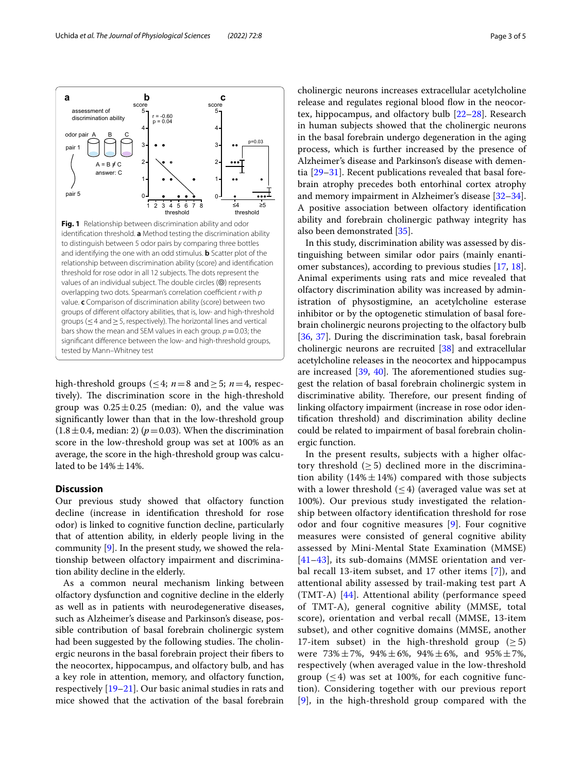<span id="page-2-0"></span>

high-threshold groups ( $\leq 4$ ; *n*=8 and  $\geq 5$ ; *n*=4, respectively). The discrimination score in the high-threshold group was  $0.25 \pm 0.25$  (median: 0), and the value was signifcantly lower than that in the low-threshold group  $(1.8 \pm 0.4, \text{median: 2})$  ( $p = 0.03$ ). When the discrimination score in the low-threshold group was set at 100% as an average, the score in the high-threshold group was calculated to be  $14\% \pm 14\%$ .

## **Discussion**

Our previous study showed that olfactory function decline (increase in identifcation threshold for rose odor) is linked to cognitive function decline, particularly that of attention ability, in elderly people living in the community [\[9](#page-3-6)]. In the present study, we showed the relationship between olfactory impairment and discrimination ability decline in the elderly.

As a common neural mechanism linking between olfactory dysfunction and cognitive decline in the elderly as well as in patients with neurodegenerative diseases, such as Alzheimer's disease and Parkinson's disease, possible contribution of basal forebrain cholinergic system had been suggested by the following studies. The cholinergic neurons in the basal forebrain project their fbers to the neocortex, hippocampus, and olfactory bulb, and has a key role in attention, memory, and olfactory function, respectively [[19](#page-4-7)[–21](#page-4-8)]. Our basic animal studies in rats and mice showed that the activation of the basal forebrain cholinergic neurons increases extracellular acetylcholine release and regulates regional blood flow in the neocortex, hippocampus, and olfactory bulb [\[22](#page-4-9)[–28\]](#page-4-10). Research in human subjects showed that the cholinergic neurons in the basal forebrain undergo degeneration in the aging process, which is further increased by the presence of Alzheimer's disease and Parkinson's disease with dementia [\[29](#page-4-11)–[31\]](#page-4-12). Recent publications revealed that basal forebrain atrophy precedes both entorhinal cortex atrophy and memory impairment in Alzheimer's disease [[32](#page-4-13)[–34](#page-4-14)]. A positive association between olfactory identifcation ability and forebrain cholinergic pathway integrity has also been demonstrated [\[35](#page-4-15)].

In this study, discrimination ability was assessed by distinguishing between similar odor pairs (mainly enantiomer substances), according to previous studies [\[17](#page-4-5), [18](#page-4-6)]. Animal experiments using rats and mice revealed that olfactory discrimination ability was increased by administration of physostigmine, an acetylcholine esterase inhibitor or by the optogenetic stimulation of basal forebrain cholinergic neurons projecting to the olfactory bulb [[36,](#page-4-16) [37](#page-4-17)]. During the discrimination task, basal forebrain cholinergic neurons are recruited [\[38](#page-4-18)] and extracellular acetylcholine releases in the neocortex and hippocampus are increased  $[39, 40]$  $[39, 40]$  $[39, 40]$  $[39, 40]$  $[39, 40]$ . The aforementioned studies suggest the relation of basal forebrain cholinergic system in discriminative ability. Therefore, our present finding of linking olfactory impairment (increase in rose odor identifcation threshold) and discrimination ability decline could be related to impairment of basal forebrain cholinergic function.

In the present results, subjects with a higher olfactory threshold  $(\geq 5)$  declined more in the discrimination ability  $(14\% \pm 14\%)$  compared with those subjects with a lower threshold  $(\leq 4)$  (averaged value was set at 100%). Our previous study investigated the relationship between olfactory identifcation threshold for rose odor and four cognitive measures [[9](#page-3-6)]. Four cognitive measures were consisted of general cognitive ability assessed by Mini-Mental State Examination (MMSE) [[41](#page-4-21)[–43](#page-4-22)], its sub-domains (MMSE orientation and verbal recall 13-item subset, and 17 other items [[7\]](#page-3-4)), and attentional ability assessed by trail-making test part A (TMT-A) [[44\]](#page-4-23). Attentional ability (performance speed of TMT-A), general cognitive ability (MMSE, total score), orientation and verbal recall (MMSE, 13-item subset), and other cognitive domains (MMSE, another 17-item subset) in the high-threshold group ( $\geq$  5) were  $73\% \pm 7\%$ ,  $94\% \pm 6\%$ ,  $94\% \pm 6\%$ , and  $95\% \pm 7\%$ , respectively (when averaged value in the low-threshold group  $(\leq 4)$  was set at 100%, for each cognitive function). Considering together with our previous report [[9](#page-3-6)], in the high-threshold group compared with the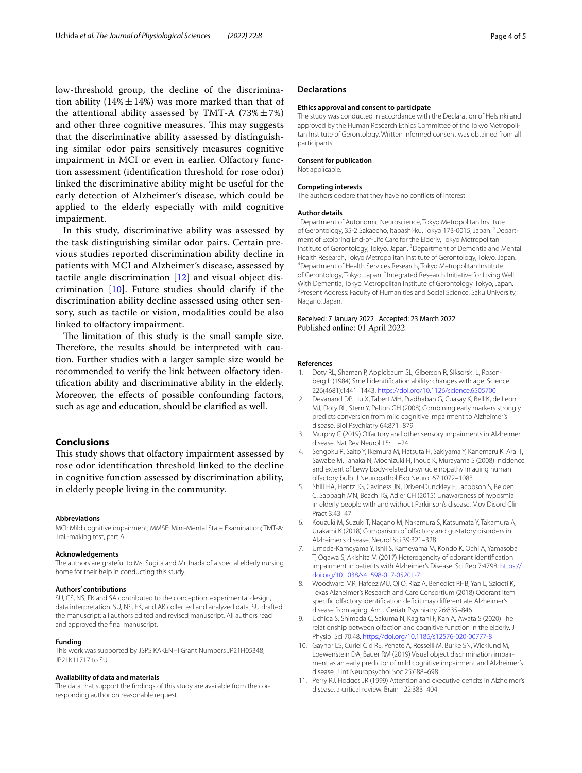low-threshold group, the decline of the discrimination ability (14% $\pm$ 14%) was more marked than that of the attentional ability assessed by TMT-A  $(73\% \pm 7\%)$ and other three cognitive measures. This may suggests that the discriminative ability assessed by distinguishing similar odor pairs sensitively measures cognitive impairment in MCI or even in earlier. Olfactory function assessment (identifcation threshold for rose odor) linked the discriminative ability might be useful for the early detection of Alzheimer's disease, which could be applied to the elderly especially with mild cognitive impairment.

In this study, discriminative ability was assessed by the task distinguishing similar odor pairs. Certain previous studies reported discrimination ability decline in patients with MCI and Alzheimer's disease, assessed by tactile angle discrimination [[12](#page-4-0)] and visual object discrimination [\[10\]](#page-3-7). Future studies should clarify if the discrimination ability decline assessed using other sensory, such as tactile or vision, modalities could be also linked to olfactory impairment.

The limitation of this study is the small sample size. Therefore, the results should be interpreted with caution. Further studies with a larger sample size would be recommended to verify the link between olfactory identifcation ability and discriminative ability in the elderly. Moreover, the efects of possible confounding factors, such as age and education, should be clarifed as well.

# **Conclusions**

This study shows that olfactory impairment assessed by rose odor identifcation threshold linked to the decline in cognitive function assessed by discrimination ability, in elderly people living in the community.

#### **Abbreviations**

MCI: Mild cognitive impairment; MMSE: Mini-Mental State Examination; TMT-A: Trail-making test, part A.

#### **Acknowledgements**

The authors are grateful to Ms. Sugita and Mr. Inada of a special elderly nursing home for their help in conducting this study.

#### **Authors' contributions**

SU, CS, NS, FK and SA contributed to the conception, experimental design, data interpretation. SU, NS, FK, and AK collected and analyzed data. SU drafted the manuscript; all authors edited and revised manuscript. All authors read and approved the fnal manuscript.

#### **Funding**

This work was supported by JSPS KAKENHI Grant Numbers JP21H05348, JP21K11717 to SU.

#### **Availability of data and materials**

The data that support the findings of this study are available from the corresponding author on reasonable request.

#### **Declarations**

#### **Ethics approval and consent to participate**

The study was conducted in accordance with the Declaration of Helsinki and approved by the Human Research Ethics Committee of the Tokyo Metropolitan Institute of Gerontology. Written informed consent was obtained from all participants.

## **Consent for publication**

Not applicable.

#### **Competing interests**

The authors declare that they have no conficts of interest.

#### **Author details**

<sup>1</sup> Department of Autonomic Neuroscience, Tokyo Metropolitan Institute of Gerontology, 35-2 Sakaecho, Itabashi-ku, Tokyo 173-0015, Japan. <sup>2</sup> Department of Exploring End‑of‑Life Care for the Elderly, Tokyo Metropolitan Institute of Gerontology, Tokyo, Japan. <sup>3</sup> Department of Dementia and Mental Health Research, Tokyo Metropolitan Institute of Gerontology, Tokyo, Japan. 4 Department of Health Services Research, Tokyo Metropolitan Institute of Gerontology, Tokyo, Japan. <sup>5</sup>Integrated Research Initiative for Living Well With Dementia, Tokyo Metropolitan Institute of Gerontology, Tokyo, Japan. 6 <sup>6</sup> Present Address: Faculty of Humanities and Social Science, Saku University, Nagano, Japan.

#### Received: 7 January 2022 Accepted: 23 March 2022 Published online: 01 April 2022

#### **References**

- <span id="page-3-0"></span>Doty RL, Shaman P, Applebaum SL, Giberson R, Siksorski L, Rosenberg L (1984) Smell idenitifcation ability: changes with age. Science 226(4681):1441–1443. <https://doi.org/10.1126/science.6505700>
- <span id="page-3-1"></span>2. Devanand DP, Liu X, Tabert MH, Pradhaban G, Cuasay K, Bell K, de Leon MJ, Doty RL, Stern Y, Pelton GH (2008) Combining early markers strongly predicts conversion from mild cognitive impairment to Alzheimer's disease. Biol Psychiatry 64:871–879
- 3. Murphy C (2019) Olfactory and other sensory impairments in Alzheimer disease. Nat Rev Neurol 15:11–24
- 4. Sengoku R, Saito Y, Ikemura M, Hatsuta H, Sakiyama Y, Kanemaru K, Arai T, Sawabe M, Tanaka N, Mochizuki H, Inoue K, Murayama S (2008) Incidence and extent of Lewy body-related α-synucleinopathy in aging human olfactory bulb. J Neuropathol Exp Neurol 67:1072–1083
- <span id="page-3-2"></span>5. Shill HA, Hentz JG, Caviness JN, Driver-Dunckley E, Jacobson S, Belden C, Sabbagh MN, Beach TG, Adler CH (2015) Unawareness of hyposmia in elderly people with and without Parkinson's disease. Mov Disord Clin Pract 3:43–47
- <span id="page-3-3"></span>6. Kouzuki M, Suzuki T, Nagano M, Nakamura S, Katsumata Y, Takamura A, Urakami K (2018) Comparison of olfactory and gustatory disorders in Alzheimer's disease. Neurol Sci 39:321–328
- <span id="page-3-4"></span>7. Umeda-Kameyama Y, Ishii S, Kameyama M, Kondo K, Ochi A, Yamasoba T, Ogawa S, Akishita M (2017) Heterogeneity of odorant identifcation impairment in patients with Alzheimer's Disease. Sci Rep 7:4798. [https://](https://doi.org/10.1038/s41598-017-05201-7) [doi.org/10.1038/s41598-017-05201-7](https://doi.org/10.1038/s41598-017-05201-7)
- <span id="page-3-5"></span>8. Woodward MR, Hafeez MU, Qi Q, Riaz A, Benedict RHB, Yan L, Szigeti K, Texas Alzheimer's Research and Care Consortium (2018) Odorant item specifc olfactory identifcation defcit may diferentiate Alzheimer's disease from aging. Am J Geriatr Psychiatry 26:835–846
- <span id="page-3-6"></span>9. Uchida S, Shimada C, Sakuma N, Kagitani F, Kan A, Awata S (2020) The relationship between olfaction and cognitive function in the elderly. J Physiol Sci 70:48.<https://doi.org/10.1186/s12576-020-00777-8>
- <span id="page-3-7"></span>10. Gaynor LS, Curiel Cid RE, Penate A, Rosselli M, Burke SN, Wicklund M, Loewenstein DA, Bauer RM (2019) Visual object discrimination impairment as an early predictor of mild cognitive impairment and Alzheimer's disease. J Int Neuropsychol Soc 25:688–698
- 11. Perry RJ, Hodges JR (1999) Attention and executive defcits in Alzheimer's disease. a critical review. Brain 122:383–404